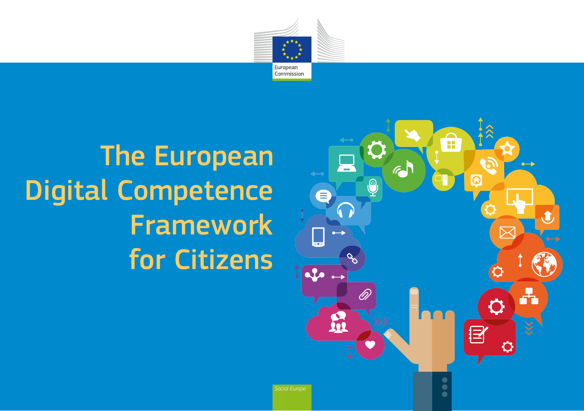

# **The European** Digital Competence Framework for Citizens

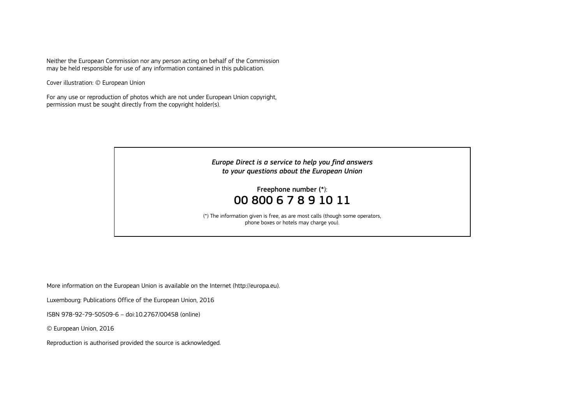Neither the European Commission nor any person acting on behalf of the Commission may be held responsible for use of any information contained in this publication.

Cover illustration: © European Union

For any use or reproduction of photos which are not under European Union copyright, permission must be sought directly from the copyright holder(s).



More information on the European Union is available on the Internet ([http://europa.eu\).](http://europa.eu)

Luxembourg: Publications Office of the European Union, 2016

ISBN 978-92-79-50509-6 – doi:10.2767/00458 (online)

© European Union, 2016

Reproduction is authorised provided the source is acknowledged.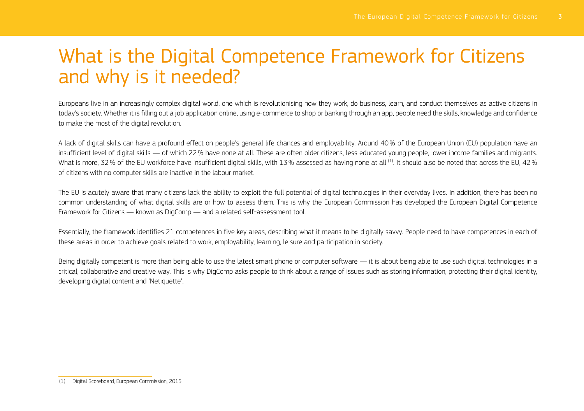## What is the Digital Competence Framework for Citizens and why is it needed?

Europeans live in an increasingly complex digital world, one which is revolutionising how they work, do business, learn, and conduct themselves as active citizens in today's society. Whether it is filling out a job application online, using e-commerce to shop or banking through an app, people need the skills, knowledge and confidence to make the most of the digital revolution.

A lack of digital skills can have a profound effect on people's general life chances and employability. Around 40% of the European Union (EU) population have an insufficient level of digital skills — of which 22% have none at all. These are often older citizens, less educated young people, lower income families and migrants. What is more, 32% of the EU workforce have insufficient digital skills, with 13% assessed as having none at all <sup>(1)</sup>. It should also be noted that across the EU, 42% of citizens with no computer skills are inactive in the labour market.

The EU is acutely aware that many citizens lack the ability to exploit the full potential of digital technologies in their everyday lives. In addition, there has been no common understanding of what digital skills are or how to assess them. This is why the European Commission has developed the European Digital Competence Framework for Citizens — known as DigComp — and a related self-assessment tool.

Essentially, the framework identifies 21 competences in five key areas, describing what it means to be digitally savvy. People need to have competences in each of these areas in order to achieve goals related to work, employability, learning, leisure and participation in society.

Being digitally competent is more than being able to use the latest smart phone or computer software — it is about being able to use such digital technologies in a critical, collaborative and creative way. This is why DigComp asks people to think about a range of issues such as storing information, protecting their digital identity, developing digital content and 'Netiquette'.

<sup>(1)</sup> Digital Scoreboard, European Commission, 2015.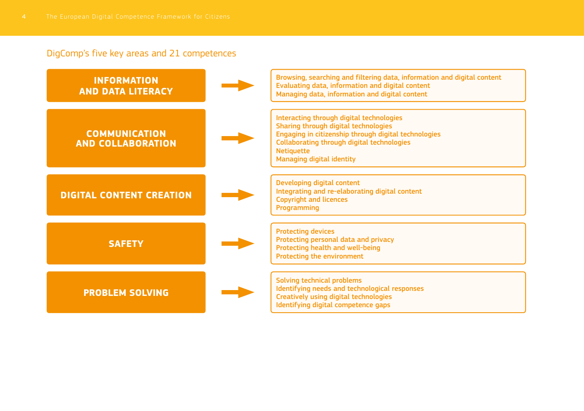### DigComp's five key areas and 21 competences

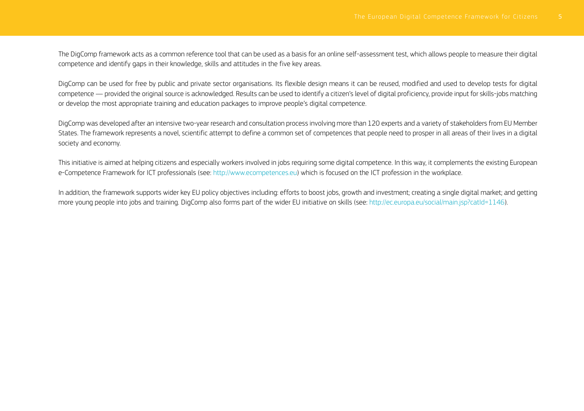The DigComp framework acts as a common reference tool that can be used as a basis for an online self-assessment test, which allows people to measure their digital competence and identify gaps in their knowledge, skills and attitudes in the five key areas.

DigComp can be used for free by public and private sector organisations. Its flexible design means it can be reused, modified and used to develop tests for digital competence — provided the original source is acknowledged. Results can be used to identify a citizen's level of digital proficiency, provide input for skills-jobs matching or develop the most appropriate training and education packages to improve people's digital competence.

DigComp was developed after an intensive two-year research and consultation process involving more than 120 experts and a variety of stakeholders from EU Member States. The framework represents a novel, scientific attempt to define a common set of competences that people need to prosper in all areas of their lives in a digital society and economy.

This initiative is aimed at helping citizens and especially workers involved in jobs requiring some digital competence. In this way, it complements the existing European e-Competence Framework for ICT professionals (see: [http://www.ecompetences.eu\)](http://www.ecompetences.eu) which is focused on the ICT profession in the workplace.

In addition, the framework supports wider key EU policy objectives including: efforts to boost jobs, growth and investment; creating a single digital market; and getting more young people into jobs and training. DigComp also forms part of the wider EU initiative on skills (see: [http://ec.europa.eu/social/main.jsp?catId=1146\).](http://ec.europa.eu/social/main.jsp?catId=1146)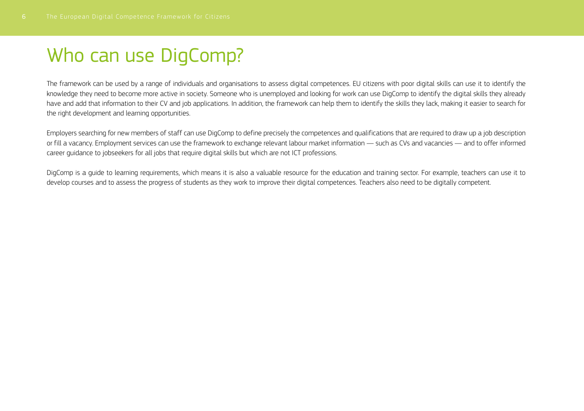# Who can use DigComp?

The framework can be used by a range of individuals and organisations to assess digital competences. EU citizens with poor digital skills can use it to identify the knowledge they need to become more active in society. Someone who is unemployed and looking for work can use DigComp to identify the digital skills they already have and add that information to their CV and job applications. In addition, the framework can help them to identify the skills they lack, making it easier to search for the right development and learning opportunities.

Employers searching for new members of staff can use DigComp to define precisely the competences and qualifications that are required to draw up a job description or fill a vacancy. Employment services can use the framework to exchange relevant labour market information — such as CVs and vacancies — and to offer informed career guidance to jobseekers for all jobs that require digital skills but which are not ICT professions.

DigComp is a guide to learning requirements, which means it is also a valuable resource for the education and training sector. For example, teachers can use it to develop courses and to assess the progress of students as they work to improve their digital competences. Teachers also need to be digitally competent.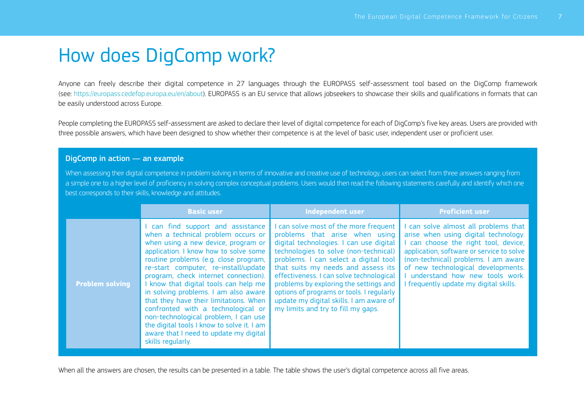# How does DigComp work?

Anyone can freely describe their digital competence in 27 languages through the EUROPASS self-assessment tool based on the DigComp framework (see: [https://europass.cedefop.europa.eu/en/about\).](https://europass.cedefop.europa.eu/en/about) EUROPASS is an EU service that allows jobseekers to showcase their skills and qualifications in formats that can be easily understood across Europe.

People completing the EUROPASS self-assessment are asked to declare their level of digital competence for each of DigComp's five key areas. Users are provided with three possible answers, which have been designed to show whether their competence is at the level of basic user, independent user or proficient user.

#### DigComp in action — an example

When assessing their digital competence in problem solving in terms of innovative and creative use of technology, users can select from three answers ranging from a simple one to a higher level of proficiency in solving complex conceptual problems. Users would then read the following statements carefully and identify which one best corresponds to their skills, knowledge and attitudes.

|                        | <b>Basic user</b>                                                                                                                                                                                                                                                                                                                                                                                                                                                                                                                                                                                      | <b>Independent user</b>                                                                                                                                                                                                                                                                                                                                                                                                                                        | <b>Proficient user</b>                                                                                                                                                                                                                                                                                                    |
|------------------------|--------------------------------------------------------------------------------------------------------------------------------------------------------------------------------------------------------------------------------------------------------------------------------------------------------------------------------------------------------------------------------------------------------------------------------------------------------------------------------------------------------------------------------------------------------------------------------------------------------|----------------------------------------------------------------------------------------------------------------------------------------------------------------------------------------------------------------------------------------------------------------------------------------------------------------------------------------------------------------------------------------------------------------------------------------------------------------|---------------------------------------------------------------------------------------------------------------------------------------------------------------------------------------------------------------------------------------------------------------------------------------------------------------------------|
| <b>Problem solving</b> | I can find support and assistance<br>when a technical problem occurs or<br>when using a new device, program or<br>application. I know how to solve some<br>routine problems (e.g. close program,<br>re-start computer, re-install/update<br>program, check internet connection).<br>I know that digital tools can help me<br>in solving problems. I am also aware<br>that they have their limitations. When<br>confronted with a technological or<br>non-technological problem. I can use<br>the digital tools I know to solve it. I am<br>aware that I need to update my digital<br>skills regularly. | I can solve most of the more frequent<br>problems that arise when using<br>digital technologies. I can use digital<br>technologies to solve (non-technical)<br>problems. I can select a digital tool<br>that suits my needs and assess its<br>effectiveness. I can solve technological<br>problems by exploring the settings and<br>options of programs or tools. I regularly<br>update my digital skills. I am aware of<br>my limits and try to fill my gaps. | can solve almost all problems that<br>arise when using digital technology.<br>I can choose the right tool, device,<br>application, software or service to solve<br>(non-technical) problems. I am aware<br>of new technological developments.<br>understand how new tools work.<br>I frequently update my digital skills. |

When all the answers are chosen, the results can be presented in a table. The table shows the user's digital competence across all five areas.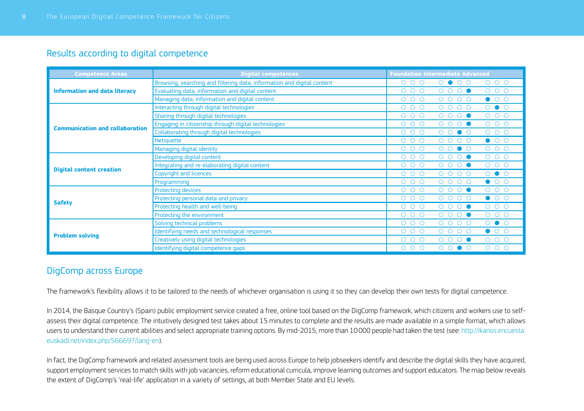### Results according to digital competence

| <b>Competence Areas</b>                | <b>Digital competences</b>                                              | <b>Foundation Intermediate Advanced</b>                                   |
|----------------------------------------|-------------------------------------------------------------------------|---------------------------------------------------------------------------|
|                                        | Browsing, searching and filtering data, information and digital content | $O$ $O$ $O$<br>$O$ $O$ $O$<br>0 0 0 0                                     |
| <b>Information and data literacy</b>   | Evaluating data, information and digital content                        | $O$ $O$ $O$<br>$O$ $O$ $O$<br>0000                                        |
|                                        | Managing data, information and digital content                          | $\bullet$ 00<br>$\circ$ $\circ$<br>$0000$<br>$\circ$                      |
|                                        | Interacting through digital technologies                                | $O$ $O$<br>$O$ $O$ $O$<br>$0000$                                          |
|                                        | Sharing through digital technologies                                    | $O$ $O$ $O$<br>$O$ $O$ $O$<br>0000                                        |
| <b>Communication and collaboration</b> | Engaging in citizenship through digital technologies                    | 000<br>0000<br>$\circ$ $\circ$<br>$\circ$                                 |
|                                        | Collaborating through digital technologies                              | $O$ $O$ $O$<br>$O$ $O$ $O$<br>0000                                        |
|                                        | <b>Netiquette</b>                                                       | $O$ $O$ $O$<br>$\bullet$ 00<br>$0000$                                     |
|                                        | Managing digital identity                                               | 000<br>$\circ$ $\circ$<br>$O$ $O$<br>$\bullet$ $\circ$<br>$\circ$         |
|                                        | Developing digital content                                              | $O$ $O$ $O$<br>$O$ $O$ $O$<br>0000                                        |
| <b>Digital content creation</b>        | Integrating and re-elaborating digital content                          | $O$ $O$ $O$<br>$\circ$ $\circ$<br>$\circ$<br>$O$ $O$<br>$\circ$ $\bullet$ |
|                                        | Copyright and licences                                                  | $O$ $O$<br>$O$ $O$ $O$<br>$0000$                                          |
|                                        | Programming                                                             | $\bullet$ 00<br>$O$ $O$ $O$<br>$0000$                                     |
|                                        | Protecting devices                                                      | $O$ $O$ $O$<br>$O$ $O$<br>$\circ$<br>$O$ $O$<br>$\circ$ $\bullet$         |
| <b>Safety</b>                          | Protecting personal data and privacy                                    | $\bullet$ 00<br>$O$ $O$ $O$<br>$0000$                                     |
|                                        | Protecting health and well-being                                        | $O$ $O$ $O$<br>$O$ $O$ $O$<br>0000                                        |
|                                        | Protecting the environment                                              | $O$ $O$ $O$<br>$O$ $O$ $O$<br>0000                                        |
|                                        | Solving technical problems                                              | $O$ $O$<br>$O$ $O$ $O$<br>$0000$                                          |
| <b>Problem solving</b>                 | Identifying needs and technological responses                           | $\bullet$ 00<br>$0000$<br>$\circ$ $\circ$<br>$\circ$                      |
|                                        | Creatively using digital technologies                                   | $O$ $O$ $O$<br>0000<br>$O$ $O$ $O$                                        |
|                                        | Identifying digital competence gaps                                     | $O$ $O$ $O$<br>$O$ $O$ $O$<br>0000                                        |

### DigComp across Europe

The framework's flexibility allows it to be tailored to the needs of whichever organisation is using it so they can develop their own tests for digital competence.

In 2014, the Basque Country's (Spain) public employment service created a free, online tool based on the DigComp framework, which citizens and workers use to selfassess their digital competence. The intuitively designed test takes about 15 minutes to complete and the results are made available in a simple format, which allows users to understand their current abilities and select appropriate training options. By mid-2015, more than 10000 people had taken the test (see: [http://ikanos.encuesta.](http://ikanos.encuesta.euskadi.net/index.php/566697/lang-en) [euskadi.net/index.php/566697/lang-en\).](http://ikanos.encuesta.euskadi.net/index.php/566697/lang-en)

In fact, the DigComp framework and related assessment tools are being used across Europe to help jobseekers identify and describe the digital skills they have acquired, support employment services to match skills with job vacancies, reform educational curricula, improve learning outcomes and support educators. The map below reveals the extent of DigComp's 'real-life' application in a variety of settings, at both Member State and EU levels.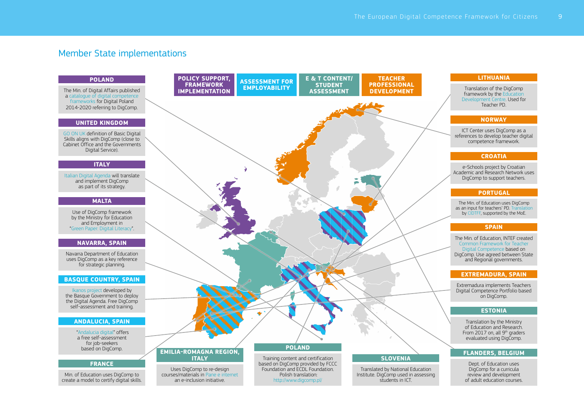### Member State implementations

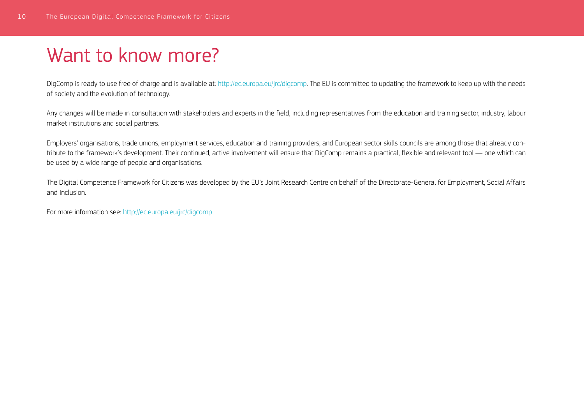# Want to know more?

DigComp is ready to use free of charge and is available at: [http://ec.europa.eu/jrc/digcomp.](http://ec.europa.eu/jrc/digcomp) The EU is committed to updating the framework to keep up with the needs of society and the evolution of technology.

Any changes will be made in consultation with stakeholders and experts in the field, including representatives from the education and training sector, industry, labour market institutions and social partners.

Employers' organisations, trade unions, employment services, education and training providers, and European sector skills councils are among those that already contribute to the framework's development. Their continued, active involvement will ensure that DigComp remains a practical, flexible and relevant tool — one which can be used by a wide range of people and organisations.

The Digital Competence Framework for Citizens was developed by the EU's Joint Research Centre on behalf of the Directorate-General for Employment, Social Affairs and Inclusion.

For more information see: <http://ec.europa.eu/jrc/digcomp>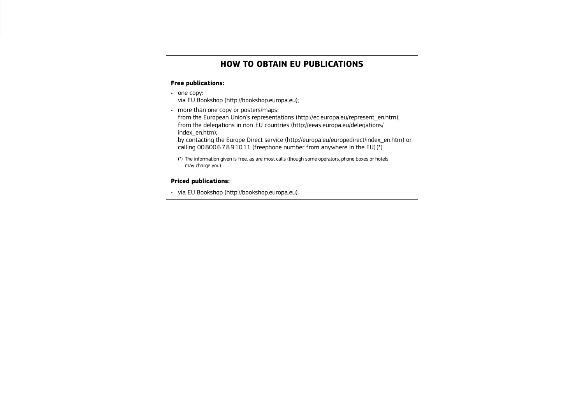#### **HOW TO OBTAIN EU PUBLICATIONS**

#### **Free publications:**

• one copy:

via EU Bookshop ([http://bookshop.europa.eu\);](http://bookshop.europa.eu)

• more than one copy or posters/maps:

from the European Union's representations [\(http://ec.europa.eu/represent\\_en.htm\);](http://ec.europa.eu/represent_en.htm) from the delegations in non-EU countries [\(http://eeas.europa.eu/delegations/](http://eeas.europa.eu/delegations/index_en.htm) [index\\_en.htm\);](http://eeas.europa.eu/delegations/index_en.htm)

by contacting the Europe Direct service [\(http://europa.eu/europedirect/index\\_en.htm\)](http://europa.eu/europedirect/index_en.htm) or calling  $0080067891011$  (freephone number from anywhere in the EU)( $\overline{)}$ ).

(\*) The information given is free, as are most calls (though some operators, phone boxes or hotels may charge you).

#### **Priced publications:**

• via EU Bookshop (http://bookshop.europa.eu).